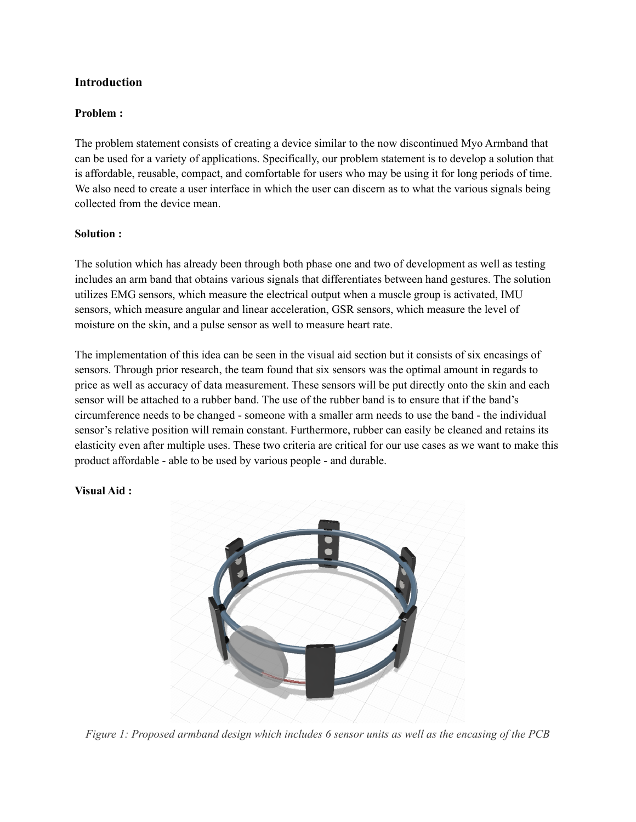# **Introduction**

## **Problem :**

The problem statement consists of creating a device similar to the now discontinued Myo Armband that can be used for a variety of applications. Specifically, our problem statement is to develop a solution that is affordable, reusable, compact, and comfortable for users who may be using it for long periods of time. We also need to create a user interface in which the user can discern as to what the various signals being collected from the device mean.

## **Solution :**

The solution which has already been through both phase one and two of development as well as testing includes an arm band that obtains various signals that differentiates between hand gestures. The solution utilizes EMG sensors, which measure the electrical output when a muscle group is activated, IMU sensors, which measure angular and linear acceleration, GSR sensors, which measure the level of moisture on the skin, and a pulse sensor as well to measure heart rate.

The implementation of this idea can be seen in the visual aid section but it consists of six encasings of sensors. Through prior research, the team found that six sensors was the optimal amount in regards to price as well as accuracy of data measurement. These sensors will be put directly onto the skin and each sensor will be attached to a rubber band. The use of the rubber band is to ensure that if the band's circumference needs to be changed - someone with a smaller arm needs to use the band - the individual sensor's relative position will remain constant. Furthermore, rubber can easily be cleaned and retains its elasticity even after multiple uses. These two criteria are critical for our use cases as we want to make this product affordable - able to be used by various people - and durable.

# **Visual Aid :**



*Figure 1: Proposed armband design which includes 6 sensor units as well as the encasing of the PCB*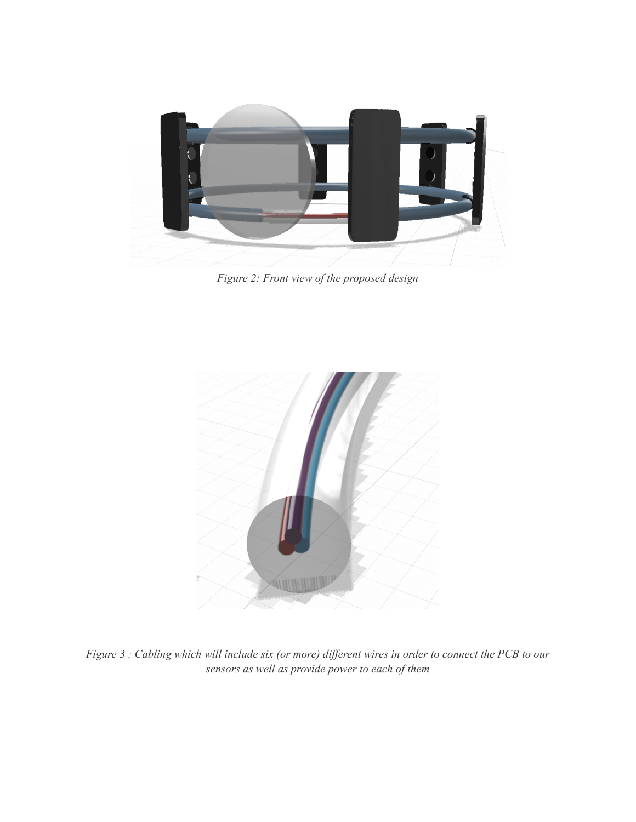

*Figure 2: Front view of the proposed design*



Figure 3 : Cabling which will include six (or more) different wires in order to connect the PCB to our *sensors as well as provide power to each of them*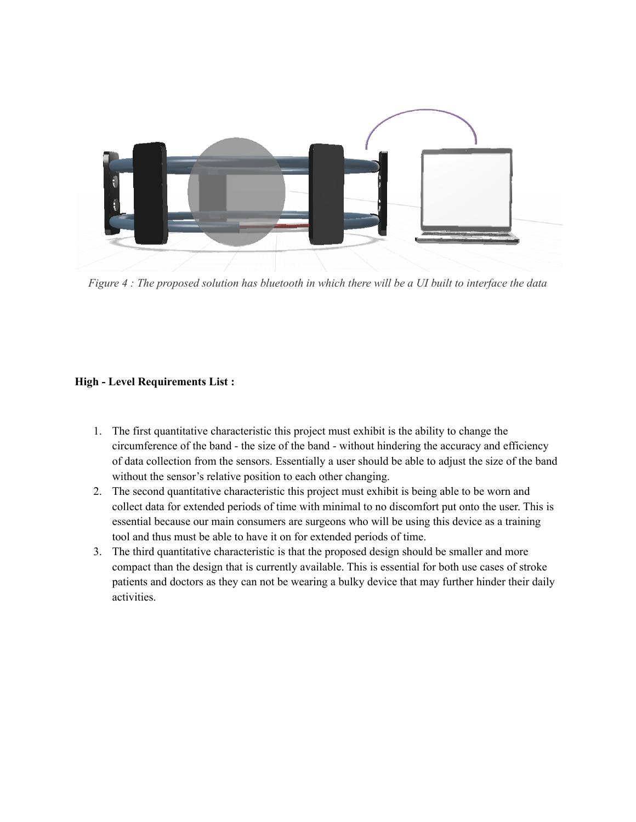

Figure 4 : The proposed solution has bluetooth in which there will be a UI built to interface the data

# **High - Level Requirements List :**

- 1. The first quantitative characteristic this project must exhibit is the ability to change the circumference of the band - the size of the band - without hindering the accuracy and efficiency of data collection from the sensors. Essentially a user should be able to adjust the size of the band without the sensor's relative position to each other changing.
- 2. The second quantitative characteristic this project must exhibit is being able to be worn and collect data for extended periods of time with minimal to no discomfort put onto the user. This is essential because our main consumers are surgeons who will be using this device as a training tool and thus must be able to have it on for extended periods of time.
- 3. The third quantitative characteristic is that the proposed design should be smaller and more compact than the design that is currently available. This is essential for both use cases of stroke patients and doctors as they can not be wearing a bulky device that may further hinder their daily activities.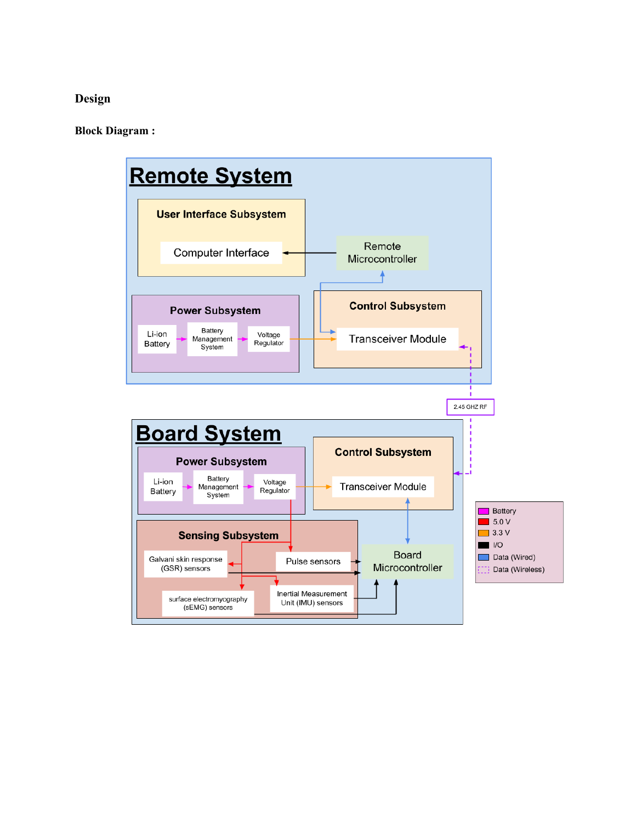# **Design**

**Block Diagram :**

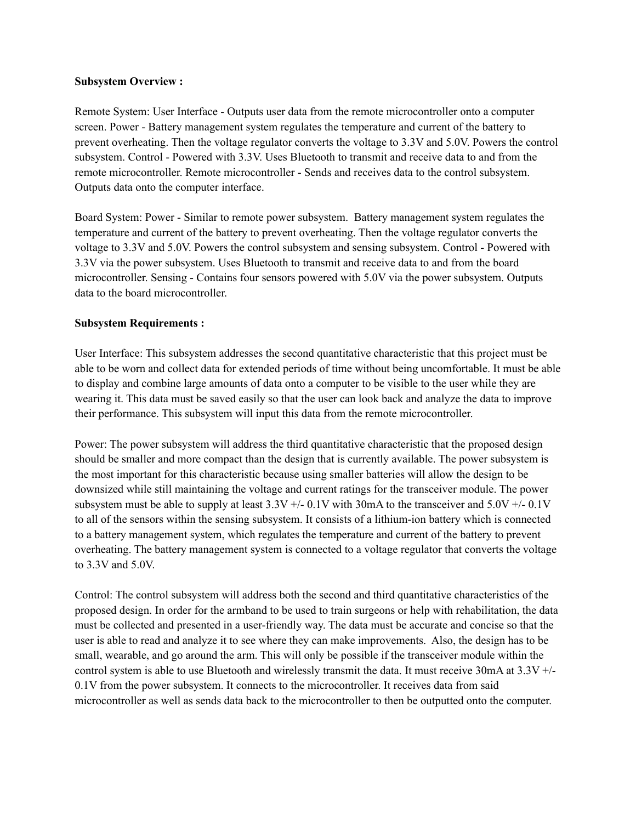#### **Subsystem Overview :**

Remote System: User Interface - Outputs user data from the remote microcontroller onto a computer screen. Power - Battery management system regulates the temperature and current of the battery to prevent overheating. Then the voltage regulator converts the voltage to 3.3V and 5.0V. Powers the control subsystem. Control - Powered with 3.3V. Uses Bluetooth to transmit and receive data to and from the remote microcontroller. Remote microcontroller - Sends and receives data to the control subsystem. Outputs data onto the computer interface.

Board System: Power - Similar to remote power subsystem. Battery management system regulates the temperature and current of the battery to prevent overheating. Then the voltage regulator converts the voltage to 3.3V and 5.0V. Powers the control subsystem and sensing subsystem. Control - Powered with 3.3V via the power subsystem. Uses Bluetooth to transmit and receive data to and from the board microcontroller. Sensing - Contains four sensors powered with 5.0V via the power subsystem. Outputs data to the board microcontroller.

## **Subsystem Requirements :**

User Interface: This subsystem addresses the second quantitative characteristic that this project must be able to be worn and collect data for extended periods of time without being uncomfortable. It must be able to display and combine large amounts of data onto a computer to be visible to the user while they are wearing it. This data must be saved easily so that the user can look back and analyze the data to improve their performance. This subsystem will input this data from the remote microcontroller.

Power: The power subsystem will address the third quantitative characteristic that the proposed design should be smaller and more compact than the design that is currently available. The power subsystem is the most important for this characteristic because using smaller batteries will allow the design to be downsized while still maintaining the voltage and current ratings for the transceiver module. The power subsystem must be able to supply at least  $3.3V +/- 0.1V$  with 30mA to the transceiver and  $5.0V +/- 0.1V$ to all of the sensors within the sensing subsystem. It consists of a lithium-ion battery which is connected to a battery management system, which regulates the temperature and current of the battery to prevent overheating. The battery management system is connected to a voltage regulator that converts the voltage to 3.3V and 5.0V.

Control: The control subsystem will address both the second and third quantitative characteristics of the proposed design. In order for the armband to be used to train surgeons or help with rehabilitation, the data must be collected and presented in a user-friendly way. The data must be accurate and concise so that the user is able to read and analyze it to see where they can make improvements. Also, the design has to be small, wearable, and go around the arm. This will only be possible if the transceiver module within the control system is able to use Bluetooth and wirelessly transmit the data. It must receive 30mA at 3.3V +/- 0.1V from the power subsystem. It connects to the microcontroller. It receives data from said microcontroller as well as sends data back to the microcontroller to then be outputted onto the computer.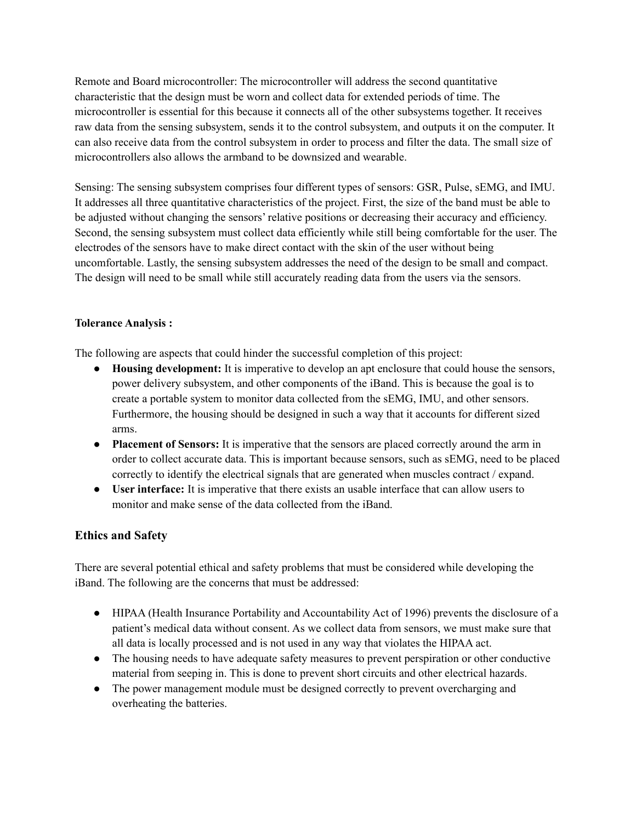Remote and Board microcontroller: The microcontroller will address the second quantitative characteristic that the design must be worn and collect data for extended periods of time. The microcontroller is essential for this because it connects all of the other subsystems together. It receives raw data from the sensing subsystem, sends it to the control subsystem, and outputs it on the computer. It can also receive data from the control subsystem in order to process and filter the data. The small size of microcontrollers also allows the armband to be downsized and wearable.

Sensing: The sensing subsystem comprises four different types of sensors: GSR, Pulse, sEMG, and IMU. It addresses all three quantitative characteristics of the project. First, the size of the band must be able to be adjusted without changing the sensors' relative positions or decreasing their accuracy and efficiency. Second, the sensing subsystem must collect data efficiently while still being comfortable for the user. The electrodes of the sensors have to make direct contact with the skin of the user without being uncomfortable. Lastly, the sensing subsystem addresses the need of the design to be small and compact. The design will need to be small while still accurately reading data from the users via the sensors.

# **Tolerance Analysis :**

The following are aspects that could hinder the successful completion of this project:

- **Housing development:** It is imperative to develop an apt enclosure that could house the sensors, power delivery subsystem, and other components of the iBand. This is because the goal is to create a portable system to monitor data collected from the sEMG, IMU, and other sensors. Furthermore, the housing should be designed in such a way that it accounts for different sized arms.
- **Placement of Sensors:** It is imperative that the sensors are placed correctly around the arm in order to collect accurate data. This is important because sensors, such as sEMG, need to be placed correctly to identify the electrical signals that are generated when muscles contract / expand.
- **User interface:** It is imperative that there exists an usable interface that can allow users to monitor and make sense of the data collected from the iBand.

# **Ethics and Safety**

There are several potential ethical and safety problems that must be considered while developing the iBand. The following are the concerns that must be addressed:

- HIPAA (Health Insurance Portability and Accountability Act of 1996) prevents the disclosure of a patient's medical data without consent. As we collect data from sensors, we must make sure that all data is locally processed and is not used in any way that violates the HIPAA act.
- The housing needs to have adequate safety measures to prevent perspiration or other conductive material from seeping in. This is done to prevent short circuits and other electrical hazards.
- The power management module must be designed correctly to prevent overcharging and overheating the batteries.